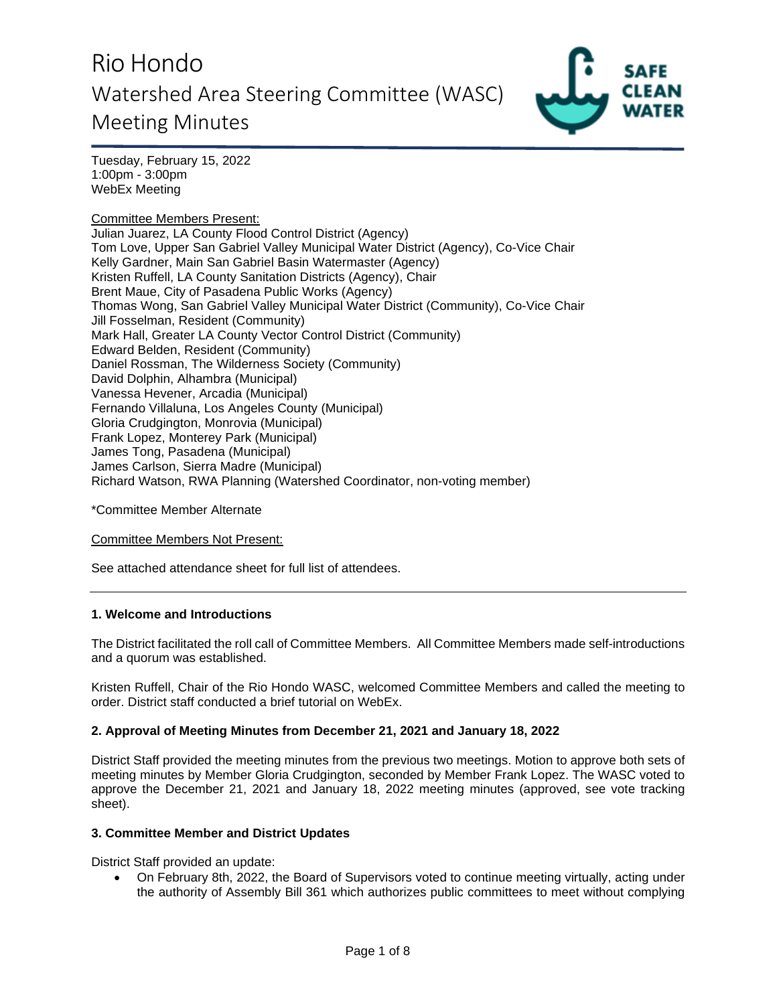

Tuesday, February 15, 2022 1:00pm - 3:00pm WebEx Meeting

Committee Members Present: Julian Juarez, LA County Flood Control District (Agency) Tom Love, Upper San Gabriel Valley Municipal Water District (Agency), Co-Vice Chair Kelly Gardner, Main San Gabriel Basin Watermaster (Agency) Kristen Ruffell, LA County Sanitation Districts (Agency), Chair Brent Maue, City of Pasadena Public Works (Agency) Thomas Wong, San Gabriel Valley Municipal Water District (Community), Co-Vice Chair Jill Fosselman, Resident (Community) Mark Hall, Greater LA County Vector Control District (Community) Edward Belden, Resident (Community) Daniel Rossman, The Wilderness Society (Community) David Dolphin, Alhambra (Municipal) Vanessa Hevener, Arcadia (Municipal) Fernando Villaluna, Los Angeles County (Municipal) Gloria Crudgington, Monrovia (Municipal) Frank Lopez, Monterey Park (Municipal) James Tong, Pasadena (Municipal) James Carlson, Sierra Madre (Municipal) Richard Watson, RWA Planning (Watershed Coordinator, non-voting member)

\*Committee Member Alternate

Committee Members Not Present:

See attached attendance sheet for full list of attendees.

#### **1. Welcome and Introductions**

The District facilitated the roll call of Committee Members. All Committee Members made self-introductions and a quorum was established.

Kristen Ruffell, Chair of the Rio Hondo WASC, welcomed Committee Members and called the meeting to order. District staff conducted a brief tutorial on WebEx.

### **2. Approval of Meeting Minutes from December 21, 2021 and January 18, 2022**

District Staff provided the meeting minutes from the previous two meetings. Motion to approve both sets of meeting minutes by Member Gloria Crudgington, seconded by Member Frank Lopez. The WASC voted to approve the December 21, 2021 and January 18, 2022 meeting minutes (approved, see vote tracking sheet).

#### **3. Committee Member and District Updates**

District Staff provided an update:

 On February 8th, 2022, the Board of Supervisors voted to continue meeting virtually, acting under the authority of Assembly Bill 361 which authorizes public committees to meet without complying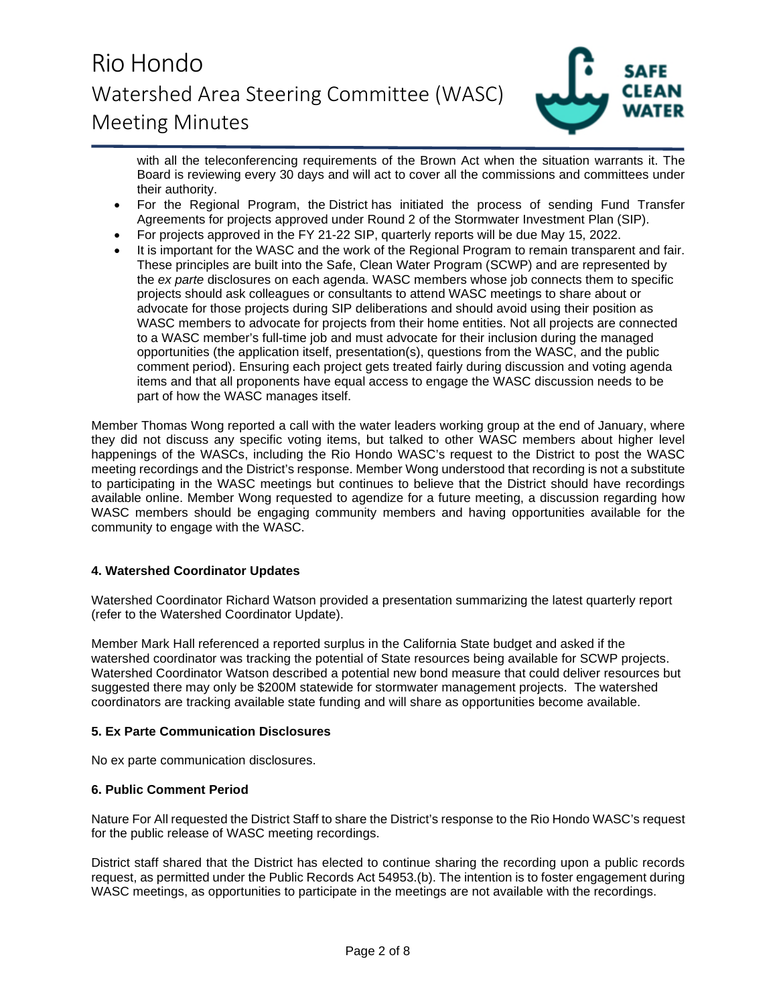

with all the teleconferencing requirements of the Brown Act when the situation warrants it. The Board is reviewing every 30 days and will act to cover all the commissions and committees under their authority.

- For the Regional Program, the District has initiated the process of sending Fund Transfer Agreements for projects approved under Round 2 of the Stormwater Investment Plan (SIP).
- For projects approved in the FY 21-22 SIP, quarterly reports will be due May 15, 2022.
- It is important for the WASC and the work of the Regional Program to remain transparent and fair. These principles are built into the Safe, Clean Water Program (SCWP) and are represented by the *ex parte* disclosures on each agenda. WASC members whose job connects them to specific projects should ask colleagues or consultants to attend WASC meetings to share about or advocate for those projects during SIP deliberations and should avoid using their position as WASC members to advocate for projects from their home entities. Not all projects are connected to a WASC member's full-time job and must advocate for their inclusion during the managed opportunities (the application itself, presentation(s), questions from the WASC, and the public comment period). Ensuring each project gets treated fairly during discussion and voting agenda items and that all proponents have equal access to engage the WASC discussion needs to be part of how the WASC manages itself.

Member Thomas Wong reported a call with the water leaders working group at the end of January, where they did not discuss any specific voting items, but talked to other WASC members about higher level happenings of the WASCs, including the Rio Hondo WASC's request to the District to post the WASC meeting recordings and the District's response. Member Wong understood that recording is not a substitute to participating in the WASC meetings but continues to believe that the District should have recordings available online. Member Wong requested to agendize for a future meeting, a discussion regarding how WASC members should be engaging community members and having opportunities available for the community to engage with the WASC.

## **4. Watershed Coordinator Updates**

Watershed Coordinator Richard Watson provided a presentation summarizing the latest quarterly report (refer to the Watershed Coordinator Update).

Member Mark Hall referenced a reported surplus in the California State budget and asked if the watershed coordinator was tracking the potential of State resources being available for SCWP projects. Watershed Coordinator Watson described a potential new bond measure that could deliver resources but suggested there may only be \$200M statewide for stormwater management projects. The watershed coordinators are tracking available state funding and will share as opportunities become available.

## **5. Ex Parte Communication Disclosures**

No ex parte communication disclosures.

## **6. Public Comment Period**

Nature For All requested the District Staff to share the District's response to the Rio Hondo WASC's request for the public release of WASC meeting recordings.

District staff shared that the District has elected to continue sharing the recording upon a public records request, as permitted under the Public Records Act 54953.(b). The intention is to foster engagement during WASC meetings, as opportunities to participate in the meetings are not available with the recordings.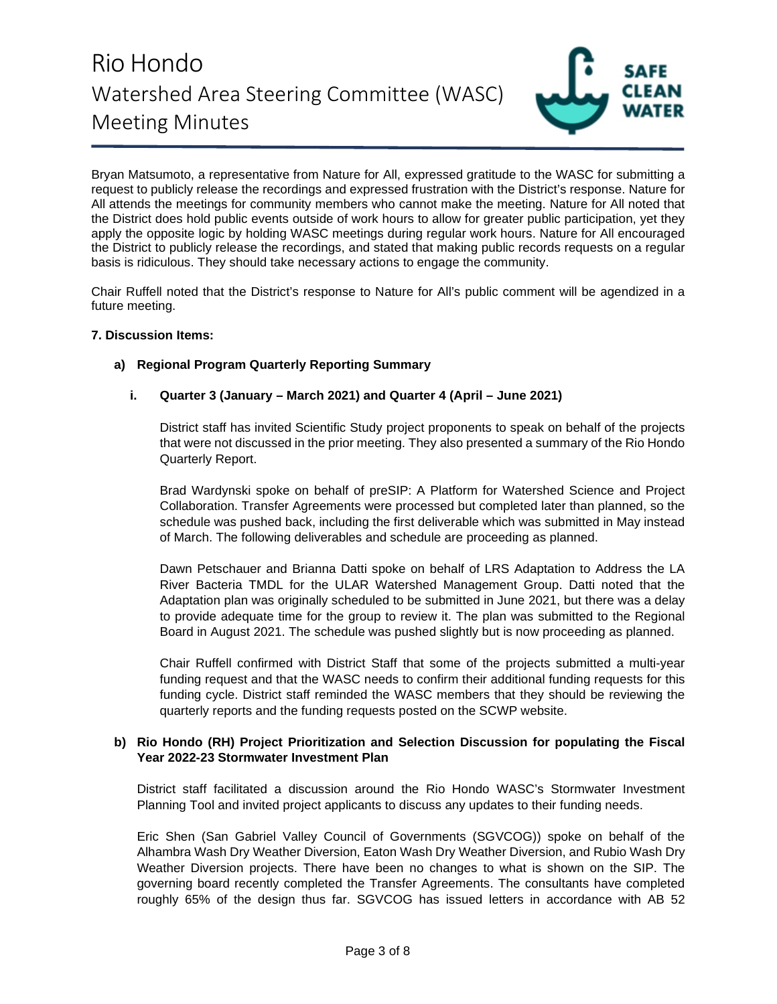

Bryan Matsumoto, a representative from Nature for All, expressed gratitude to the WASC for submitting a request to publicly release the recordings and expressed frustration with the District's response. Nature for All attends the meetings for community members who cannot make the meeting. Nature for All noted that the District does hold public events outside of work hours to allow for greater public participation, yet they apply the opposite logic by holding WASC meetings during regular work hours. Nature for All encouraged the District to publicly release the recordings, and stated that making public records requests on a regular basis is ridiculous. They should take necessary actions to engage the community.

Chair Ruffell noted that the District's response to Nature for All's public comment will be agendized in a future meeting.

### **7. Discussion Items:**

## **a) Regional Program Quarterly Reporting Summary**

## **i. Quarter 3 (January – March 2021) and Quarter 4 (April – June 2021)**

District staff has invited Scientific Study project proponents to speak on behalf of the projects that were not discussed in the prior meeting. They also presented a summary of the Rio Hondo Quarterly Report.

Brad Wardynski spoke on behalf of preSIP: A Platform for Watershed Science and Project Collaboration. Transfer Agreements were processed but completed later than planned, so the schedule was pushed back, including the first deliverable which was submitted in May instead of March. The following deliverables and schedule are proceeding as planned.

Dawn Petschauer and Brianna Datti spoke on behalf of LRS Adaptation to Address the LA River Bacteria TMDL for the ULAR Watershed Management Group. Datti noted that the Adaptation plan was originally scheduled to be submitted in June 2021, but there was a delay to provide adequate time for the group to review it. The plan was submitted to the Regional Board in August 2021. The schedule was pushed slightly but is now proceeding as planned.

Chair Ruffell confirmed with District Staff that some of the projects submitted a multi-year funding request and that the WASC needs to confirm their additional funding requests for this funding cycle. District staff reminded the WASC members that they should be reviewing the quarterly reports and the funding requests posted on the SCWP website.

### **b) Rio Hondo (RH) Project Prioritization and Selection Discussion for populating the Fiscal Year 2022-23 Stormwater Investment Plan**

District staff facilitated a discussion around the Rio Hondo WASC's Stormwater Investment Planning Tool and invited project applicants to discuss any updates to their funding needs.

Eric Shen (San Gabriel Valley Council of Governments (SGVCOG)) spoke on behalf of the Alhambra Wash Dry Weather Diversion, Eaton Wash Dry Weather Diversion, and Rubio Wash Dry Weather Diversion projects. There have been no changes to what is shown on the SIP. The governing board recently completed the Transfer Agreements. The consultants have completed roughly 65% of the design thus far. SGVCOG has issued letters in accordance with AB 52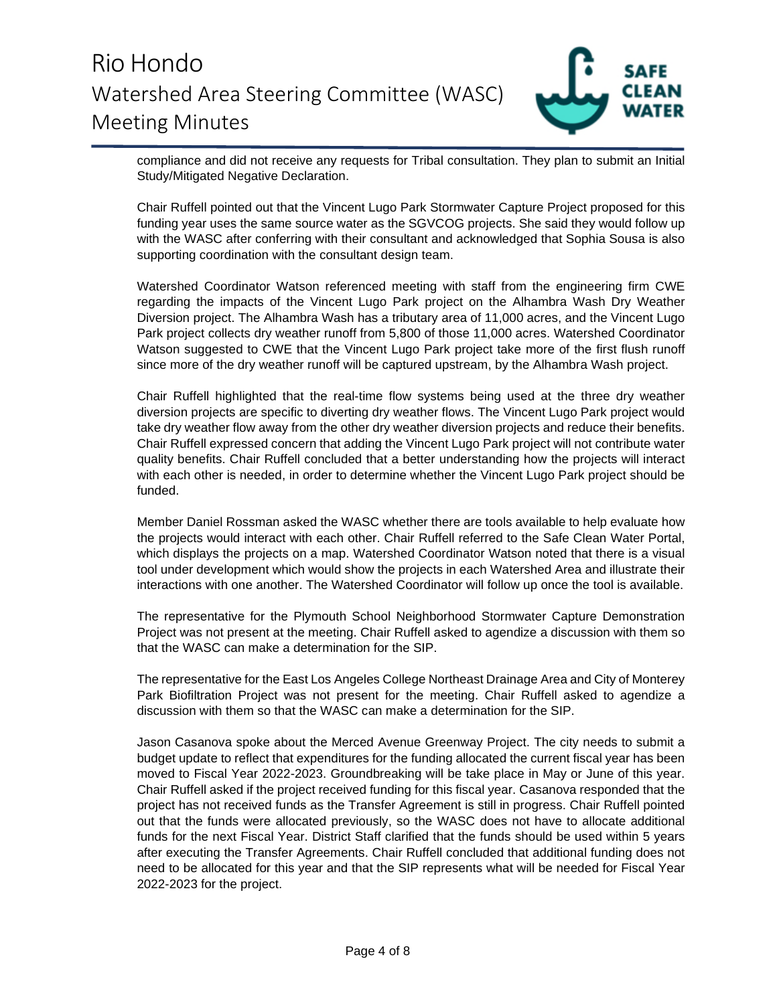

compliance and did not receive any requests for Tribal consultation. They plan to submit an Initial Study/Mitigated Negative Declaration.

Chair Ruffell pointed out that the Vincent Lugo Park Stormwater Capture Project proposed for this funding year uses the same source water as the SGVCOG projects. She said they would follow up with the WASC after conferring with their consultant and acknowledged that Sophia Sousa is also supporting coordination with the consultant design team.

Watershed Coordinator Watson referenced meeting with staff from the engineering firm CWE regarding the impacts of the Vincent Lugo Park project on the Alhambra Wash Dry Weather Diversion project. The Alhambra Wash has a tributary area of 11,000 acres, and the Vincent Lugo Park project collects dry weather runoff from 5,800 of those 11,000 acres. Watershed Coordinator Watson suggested to CWE that the Vincent Lugo Park project take more of the first flush runoff since more of the dry weather runoff will be captured upstream, by the Alhambra Wash project.

Chair Ruffell highlighted that the real-time flow systems being used at the three dry weather diversion projects are specific to diverting dry weather flows. The Vincent Lugo Park project would take dry weather flow away from the other dry weather diversion projects and reduce their benefits. Chair Ruffell expressed concern that adding the Vincent Lugo Park project will not contribute water quality benefits. Chair Ruffell concluded that a better understanding how the projects will interact with each other is needed, in order to determine whether the Vincent Lugo Park project should be funded.

Member Daniel Rossman asked the WASC whether there are tools available to help evaluate how the projects would interact with each other. Chair Ruffell referred to the Safe Clean Water Portal, which displays the projects on a map. Watershed Coordinator Watson noted that there is a visual tool under development which would show the projects in each Watershed Area and illustrate their interactions with one another. The Watershed Coordinator will follow up once the tool is available.

The representative for the Plymouth School Neighborhood Stormwater Capture Demonstration Project was not present at the meeting. Chair Ruffell asked to agendize a discussion with them so that the WASC can make a determination for the SIP.

The representative for the East Los Angeles College Northeast Drainage Area and City of Monterey Park Biofiltration Project was not present for the meeting. Chair Ruffell asked to agendize a discussion with them so that the WASC can make a determination for the SIP.

Jason Casanova spoke about the Merced Avenue Greenway Project. The city needs to submit a budget update to reflect that expenditures for the funding allocated the current fiscal year has been moved to Fiscal Year 2022-2023. Groundbreaking will be take place in May or June of this year. Chair Ruffell asked if the project received funding for this fiscal year. Casanova responded that the project has not received funds as the Transfer Agreement is still in progress. Chair Ruffell pointed out that the funds were allocated previously, so the WASC does not have to allocate additional funds for the next Fiscal Year. District Staff clarified that the funds should be used within 5 years after executing the Transfer Agreements. Chair Ruffell concluded that additional funding does not need to be allocated for this year and that the SIP represents what will be needed for Fiscal Year 2022-2023 for the project.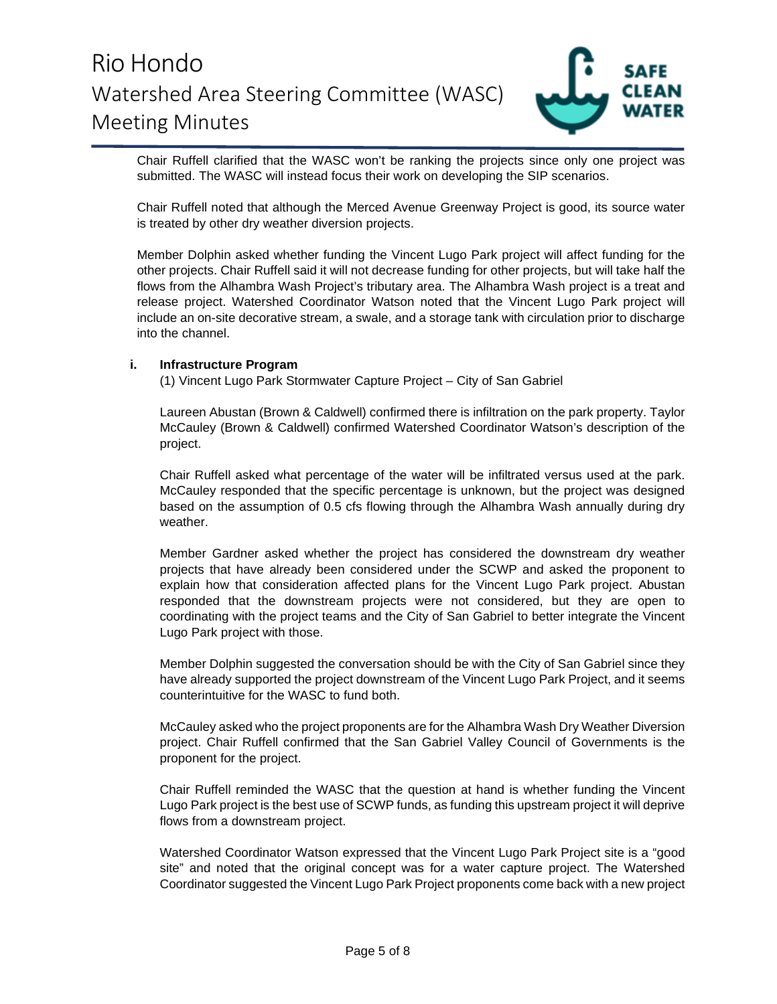

Chair Ruffell clarified that the WASC won't be ranking the projects since only one project was submitted. The WASC will instead focus their work on developing the SIP scenarios.

Chair Ruffell noted that although the Merced Avenue Greenway Project is good, its source water is treated by other dry weather diversion projects.

Member Dolphin asked whether funding the Vincent Lugo Park project will affect funding for the other projects. Chair Ruffell said it will not decrease funding for other projects, but will take half the flows from the Alhambra Wash Project's tributary area. The Alhambra Wash project is a treat and release project. Watershed Coordinator Watson noted that the Vincent Lugo Park project will include an on-site decorative stream, a swale, and a storage tank with circulation prior to discharge into the channel.

### **i. Infrastructure Program**

(1) Vincent Lugo Park Stormwater Capture Project – City of San Gabriel

Laureen Abustan (Brown & Caldwell) confirmed there is infiltration on the park property. Taylor McCauley (Brown & Caldwell) confirmed Watershed Coordinator Watson's description of the project.

Chair Ruffell asked what percentage of the water will be infiltrated versus used at the park. McCauley responded that the specific percentage is unknown, but the project was designed based on the assumption of 0.5 cfs flowing through the Alhambra Wash annually during dry weather.

Member Gardner asked whether the project has considered the downstream dry weather projects that have already been considered under the SCWP and asked the proponent to explain how that consideration affected plans for the Vincent Lugo Park project. Abustan responded that the downstream projects were not considered, but they are open to coordinating with the project teams and the City of San Gabriel to better integrate the Vincent Lugo Park project with those.

Member Dolphin suggested the conversation should be with the City of San Gabriel since they have already supported the project downstream of the Vincent Lugo Park Project, and it seems counterintuitive for the WASC to fund both.

McCauley asked who the project proponents are for the Alhambra Wash Dry Weather Diversion project. Chair Ruffell confirmed that the San Gabriel Valley Council of Governments is the proponent for the project.

Chair Ruffell reminded the WASC that the question at hand is whether funding the Vincent Lugo Park project is the best use of SCWP funds, as funding this upstream project it will deprive flows from a downstream project.

Watershed Coordinator Watson expressed that the Vincent Lugo Park Project site is a "good site" and noted that the original concept was for a water capture project. The Watershed Coordinator suggested the Vincent Lugo Park Project proponents come back with a new project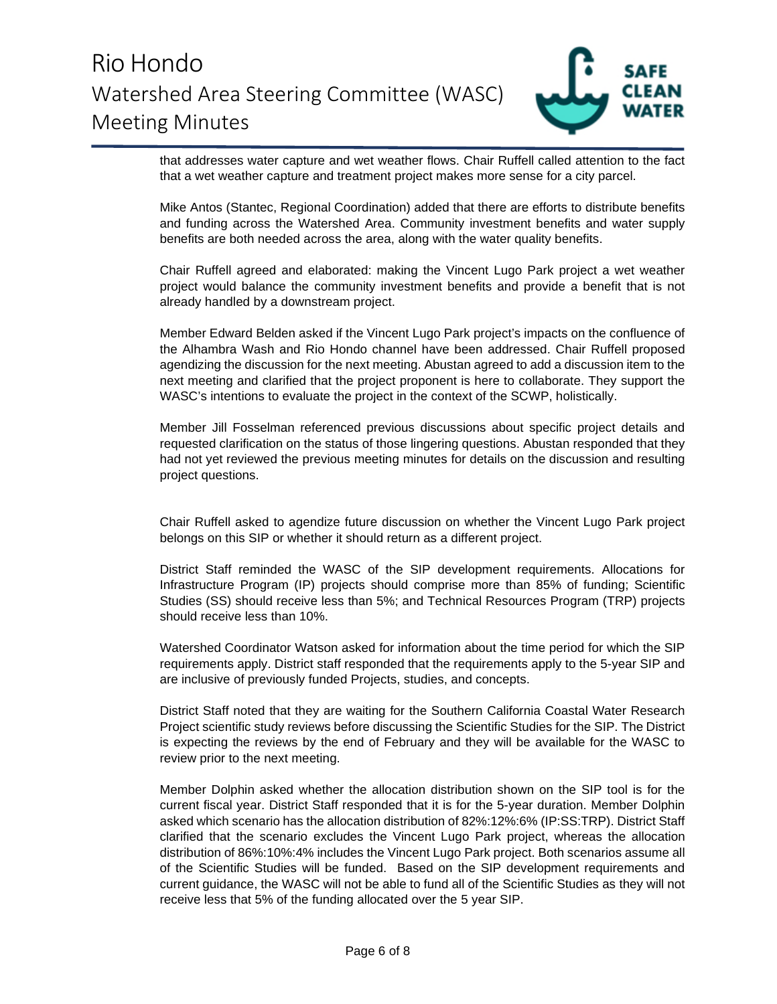

that addresses water capture and wet weather flows. Chair Ruffell called attention to the fact that a wet weather capture and treatment project makes more sense for a city parcel.

Mike Antos (Stantec, Regional Coordination) added that there are efforts to distribute benefits and funding across the Watershed Area. Community investment benefits and water supply benefits are both needed across the area, along with the water quality benefits.

Chair Ruffell agreed and elaborated: making the Vincent Lugo Park project a wet weather project would balance the community investment benefits and provide a benefit that is not already handled by a downstream project.

Member Edward Belden asked if the Vincent Lugo Park project's impacts on the confluence of the Alhambra Wash and Rio Hondo channel have been addressed. Chair Ruffell proposed agendizing the discussion for the next meeting. Abustan agreed to add a discussion item to the next meeting and clarified that the project proponent is here to collaborate. They support the WASC's intentions to evaluate the project in the context of the SCWP, holistically.

Member Jill Fosselman referenced previous discussions about specific project details and requested clarification on the status of those lingering questions. Abustan responded that they had not yet reviewed the previous meeting minutes for details on the discussion and resulting project questions.

Chair Ruffell asked to agendize future discussion on whether the Vincent Lugo Park project belongs on this SIP or whether it should return as a different project.

District Staff reminded the WASC of the SIP development requirements. Allocations for Infrastructure Program (IP) projects should comprise more than 85% of funding; Scientific Studies (SS) should receive less than 5%; and Technical Resources Program (TRP) projects should receive less than 10%.

Watershed Coordinator Watson asked for information about the time period for which the SIP requirements apply. District staff responded that the requirements apply to the 5-year SIP and are inclusive of previously funded Projects, studies, and concepts.

District Staff noted that they are waiting for the Southern California Coastal Water Research Project scientific study reviews before discussing the Scientific Studies for the SIP. The District is expecting the reviews by the end of February and they will be available for the WASC to review prior to the next meeting.

Member Dolphin asked whether the allocation distribution shown on the SIP tool is for the current fiscal year. District Staff responded that it is for the 5-year duration. Member Dolphin asked which scenario has the allocation distribution of 82%:12%:6% (IP:SS:TRP). District Staff clarified that the scenario excludes the Vincent Lugo Park project, whereas the allocation distribution of 86%:10%:4% includes the Vincent Lugo Park project. Both scenarios assume all of the Scientific Studies will be funded. Based on the SIP development requirements and current guidance, the WASC will not be able to fund all of the Scientific Studies as they will not receive less that 5% of the funding allocated over the 5 year SIP.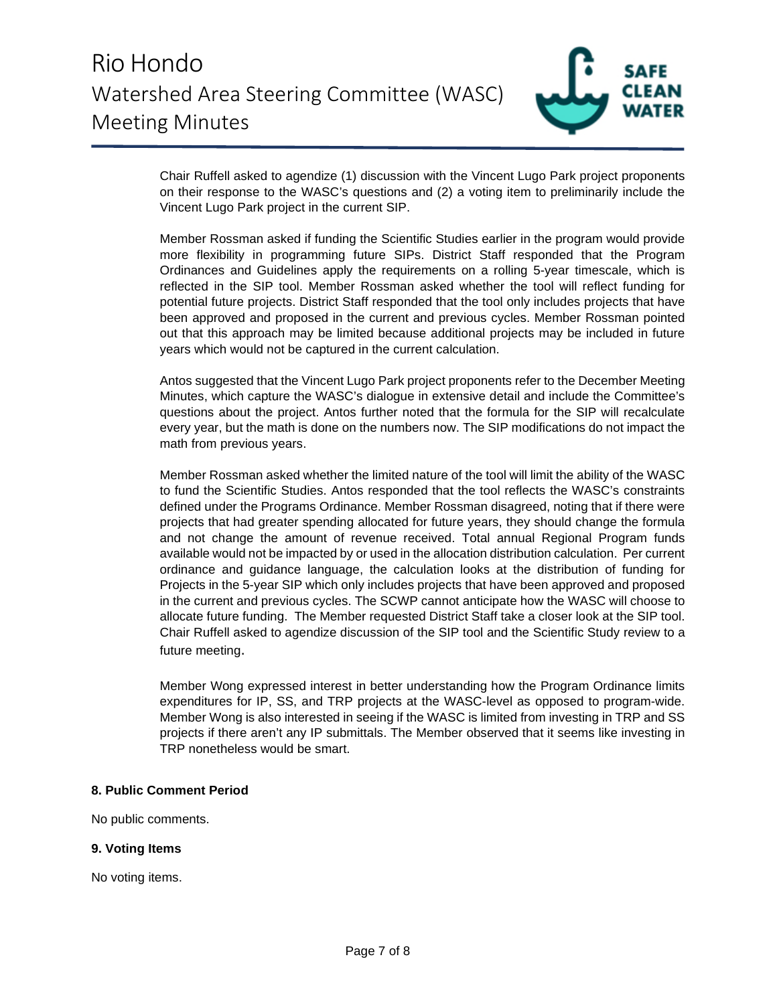

Chair Ruffell asked to agendize (1) discussion with the Vincent Lugo Park project proponents on their response to the WASC's questions and (2) a voting item to preliminarily include the Vincent Lugo Park project in the current SIP.

Member Rossman asked if funding the Scientific Studies earlier in the program would provide more flexibility in programming future SIPs. District Staff responded that the Program Ordinances and Guidelines apply the requirements on a rolling 5-year timescale, which is reflected in the SIP tool. Member Rossman asked whether the tool will reflect funding for potential future projects. District Staff responded that the tool only includes projects that have been approved and proposed in the current and previous cycles. Member Rossman pointed out that this approach may be limited because additional projects may be included in future years which would not be captured in the current calculation.

Antos suggested that the Vincent Lugo Park project proponents refer to the December Meeting Minutes, which capture the WASC's dialogue in extensive detail and include the Committee's questions about the project. Antos further noted that the formula for the SIP will recalculate every year, but the math is done on the numbers now. The SIP modifications do not impact the math from previous years.

Member Rossman asked whether the limited nature of the tool will limit the ability of the WASC to fund the Scientific Studies. Antos responded that the tool reflects the WASC's constraints defined under the Programs Ordinance. Member Rossman disagreed, noting that if there were projects that had greater spending allocated for future years, they should change the formula and not change the amount of revenue received. Total annual Regional Program funds available would not be impacted by or used in the allocation distribution calculation. Per current ordinance and guidance language, the calculation looks at the distribution of funding for Projects in the 5-year SIP which only includes projects that have been approved and proposed in the current and previous cycles. The SCWP cannot anticipate how the WASC will choose to allocate future funding. The Member requested District Staff take a closer look at the SIP tool. Chair Ruffell asked to agendize discussion of the SIP tool and the Scientific Study review to a future meeting.

Member Wong expressed interest in better understanding how the Program Ordinance limits expenditures for IP, SS, and TRP projects at the WASC-level as opposed to program-wide. Member Wong is also interested in seeing if the WASC is limited from investing in TRP and SS projects if there aren't any IP submittals. The Member observed that it seems like investing in TRP nonetheless would be smart.

#### **8. Public Comment Period**

No public comments.

#### **9. Voting Items**

No voting items.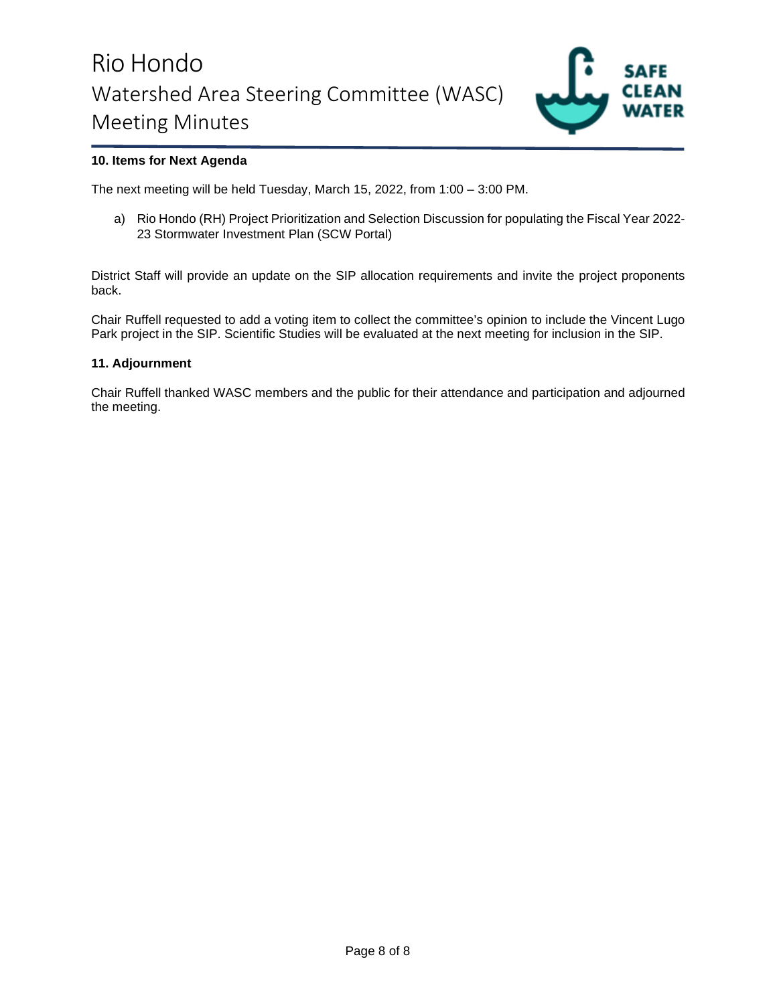

## **10. Items for Next Agenda**

The next meeting will be held Tuesday, March 15, 2022, from 1:00 – 3:00 PM.

a) Rio Hondo (RH) Project Prioritization and Selection Discussion for populating the Fiscal Year 2022- 23 Stormwater Investment Plan (SCW Portal)

District Staff will provide an update on the SIP allocation requirements and invite the project proponents back.

Chair Ruffell requested to add a voting item to collect the committee's opinion to include the Vincent Lugo Park project in the SIP. Scientific Studies will be evaluated at the next meeting for inclusion in the SIP.

### **11. Adjournment**

Chair Ruffell thanked WASC members and the public for their attendance and participation and adjourned the meeting.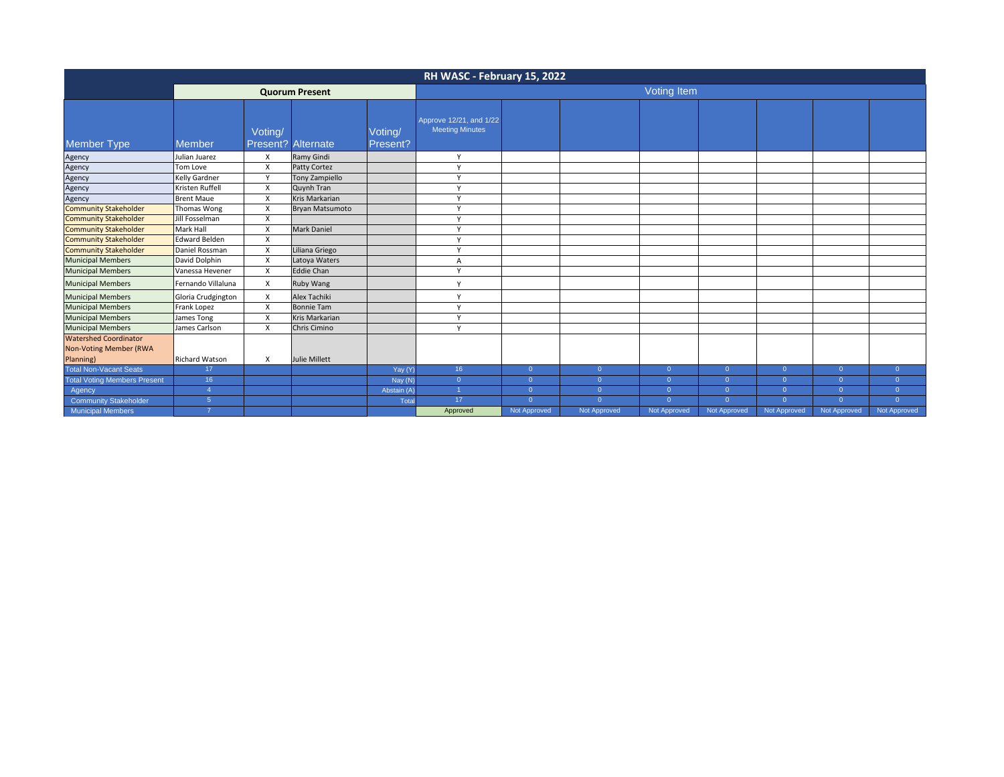| RH WASC - February 15, 2022                                         |                        |                           |                       |                     |                                                   |                |                |                |                |                |                |                |
|---------------------------------------------------------------------|------------------------|---------------------------|-----------------------|---------------------|---------------------------------------------------|----------------|----------------|----------------|----------------|----------------|----------------|----------------|
|                                                                     | <b>Quorum Present</b>  |                           |                       |                     | <b>Voting Item</b>                                |                |                |                |                |                |                |                |
| <b>Member Type</b>                                                  | <b>Member</b>          | Voting/<br>Present?       | Alternate             | Voting/<br>Present? | Approve 12/21, and 1/22<br><b>Meeting Minutes</b> |                |                |                |                |                |                |                |
| Agency                                                              | Julian Juarez          | X                         | Ramy Gindi            |                     | V                                                 |                |                |                |                |                |                |                |
| Agency                                                              | Tom Love               | X                         | Patty Cortez          |                     | Y                                                 |                |                |                |                |                |                |                |
| Agency                                                              | Kelly Gardner          | v                         | <b>Tony Zampiello</b> |                     | $\mathsf{v}$                                      |                |                |                |                |                |                |                |
| Agency                                                              | Kristen Ruffell        | X                         | Quynh Tran            |                     | $\mathsf{v}$                                      |                |                |                |                |                |                |                |
| Agency                                                              | <b>Brent Maue</b>      | X                         | Kris Markarian        |                     | $\mathsf{v}$                                      |                |                |                |                |                |                |                |
| <b>Community Stakeholder</b>                                        | Thomas Wong            | X                         | Bryan Matsumoto       |                     | $\checkmark$                                      |                |                |                |                |                |                |                |
| <b>Community Stakeholder</b>                                        | Jill Fosselman         | X                         |                       |                     | Y                                                 |                |                |                |                |                |                |                |
| <b>Community Stakeholder</b>                                        | Mark Hall              | X                         | <b>Mark Daniel</b>    |                     | v                                                 |                |                |                |                |                |                |                |
| <b>Community Stakeholder</b>                                        | Edward Belden          | X                         |                       |                     | V                                                 |                |                |                |                |                |                |                |
| <b>Community Stakeholder</b>                                        | Daniel Rossman         | X                         | Liliana Griego        |                     | $\mathsf{v}$                                      |                |                |                |                |                |                |                |
| <b>Municipal Members</b>                                            | David Dolphin          | $\boldsymbol{\mathsf{x}}$ | Latoya Waters         |                     | Α                                                 |                |                |                |                |                |                |                |
| <b>Municipal Members</b>                                            | Vanessa Hevener        | X                         | <b>Eddie Chan</b>     |                     | Y                                                 |                |                |                |                |                |                |                |
| <b>Municipal Members</b>                                            | Fernando Villaluna     | X                         | Ruby Wang             |                     | Y                                                 |                |                |                |                |                |                |                |
| <b>Municipal Members</b>                                            | Gloria Crudgington     | X                         | Alex Tachiki          |                     | $\mathsf{v}$                                      |                |                |                |                |                |                |                |
| <b>Municipal Members</b>                                            | Frank Lopez            | $\boldsymbol{\mathsf{x}}$ | <b>Bonnie Tam</b>     |                     | $\mathsf{v}$                                      |                |                |                |                |                |                |                |
| <b>Municipal Members</b>                                            | James Tong             | X                         | <b>Kris Markarian</b> |                     | Y                                                 |                |                |                |                |                |                |                |
| <b>Municipal Members</b>                                            | James Carlson          | X                         | Chris Cimino          |                     | $\mathsf{v}$                                      |                |                |                |                |                |                |                |
| <b>Watershed Coordinator</b><br>Non-Voting Member (RWA<br>Planning) | <b>Richard Watson</b>  | X                         | Julie Millett         |                     |                                                   |                |                |                |                |                |                |                |
| <b>Total Non-Vacant Seats</b>                                       | 17                     |                           |                       | Yay (Y)             | 16                                                | $\overline{0}$ | $\overline{0}$ | $\overline{0}$ | $\overline{0}$ | $\overline{0}$ | $\overline{0}$ | $\overline{0}$ |
| <b>Total Voting Members Present</b>                                 | 16                     |                           |                       | Nay (N)             | $\overline{0}$                                    | $\overline{0}$ | $\overline{0}$ | $\overline{0}$ | $\Omega$       | $\overline{0}$ | $\Omega$       | $\Omega$       |
| Agency                                                              | $\boldsymbol{\Lambda}$ |                           |                       | Abstain (A)         | 1                                                 | $\overline{0}$ | $\overline{0}$ | $\overline{0}$ | $\mathbf{0}$   | $\overline{0}$ | $\Omega$       | $\overline{0}$ |
| Community Stakeholder                                               | 5                      |                           |                       | Total               | 17                                                | $\Omega$       | $\Omega$       | $\overline{0}$ | $\Omega$       | $\overline{0}$ | $\Omega$       | $\Omega$       |
| <b>Municipal Members</b>                                            |                        |                           |                       |                     | Approved                                          | Not Approved   | Not Approved   | Not Approved   | Not Approved   | Not Approved   | Not Approved   | Not Approved   |